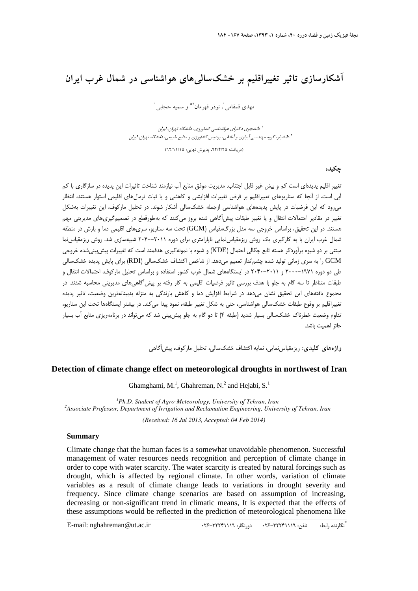# **آشكارسازي تاثير تغييراقليم بر خشكساليهاي هواشناسي در شمال غرب ايران**

مهدي قمقامي <sup>(</sup>، نوذر قهرمان<sup>3\*</sup> و سميه حجابي <sup>1</sup>

دانشجوي دكتراي هواشناسي كشاورزي، دانشگاه تهران، ايران <sup>1</sup> دانشيار، گروه مهندسي آبياري <sup>و</sup> آباداني، پرديس كشاورزي <sup>و</sup> منابع طبيعي، دانشگاه تهران، ايران <sup>2</sup>

(دريافت: ،92/4/25 پذيرش نهايي: 92/11/15 )

**چكيده** 

تغيير اقليم پديدهاي است كم و بيش غير قابل اجتناب. مديريت موفق منابع آب نيازمند شناخت تاثيرات اين پديده در سازگاري با كم آبي است. از آنجا كه سناريوهاي تعييراقليم بر فرض تغييرات افزايشي و كاهشي و يا ثبات نرمالهاي اقليمي استوار هستند، انتظار ميرود كه اين فرضيات در پايش پديدههاي هواشناسي ازجمله خشكسالي آشكار شوند. در تحليل ماركوف، اين تغييرات بهشكل تغيير در مقادير احتمالات انتقال و يا تغيير طبقات پيشآگاهي شده بروز ميكنند كه بهطورقطع در تصميمگيريهاي مديريتي مهم هستند. در اين تحقيق، براساس خروجي سه مدل بزرگمقياس (GCM (تحت سه سناريو، سريهاي اقليمي دما و بارش در منطقه شمال غرب ايران با به كارگيري يك روش ريزمقياسنمايي ناپارامتري براي دوره 2040-2011 شبيهسازي شد. روش ريزمقياسنما مبتني بر دو شيوه برآوردگر هسته تابع چگالي احتمال (KDE (و شيوه با نمونهگيري هدفمند است كه تغييرات پيشبينيشده خروجي GCM را به سري زماني توليد شده چشمانداز تعميم ميدهد. از شاخص اكتشاف خشكسالي (RDI (براي پايش پديده خشكسالي طي دو دوره 2000-1971 و 2040-2011 در ايستگاههاي شمال غرب كشور استفاده و براساس تحليل ماركوف، احتمالات انتقال و طبقات متناظر تا سه گام به جلو با هدف بررسي تاثير فرضيات اقليمي به كار رفته بر پيشآگاهيهاي مديريتي محاسبه شدند. در مجموع يافتههاي اين تحقيق نشان ميدهد در شرايط افزايش دما و كاهش بارندگي به منزله بدبينانهترين وضعيت، تاثير پديده تغييراقليم بر وقوع طبقات خشكسالي هواشناسي، حتي به شكل تغيير طبقه، نمود پيدا ميكند. در بيشتر ايستگاهها تحت اين سناريو، تداوم وضعيت خطرناك خشكسالي بسيار شديد (طبقه 4) تا دو گام به جلو پيشبيني شد كه ميتواند در برنامهريزي منابع آب بسيار حائز اهميت باشد.

**واژههاي كليدي:** ريزمقياسنمايي، نمايه اكتشاف خشكسالي، تحليل ماركوف، پيشآگاهي

### **Detection of climate change effect on meteorological droughts in northwest of Iran**

Ghamghami, M.<sup>1</sup>, Ghahreman, N.<sup>2</sup> and Hejabi, S.<sup>1</sup>

<sup>1</sup>Ph.D. Student of Agro-Meteorology, University of Tehran, Iran <sup>2</sup> Associate Professor, Department of Inviscing and Peclamation Engineering, University *Associate Professor, Department of Irrigation and Reclamation Engineering, University of Tehran, Iran* 

*(Received: 16 Jul 2013, Accepted: 04 Feb 2014)*

#### **Summary**

Climate change that the human faces is a somewhat unavoidable phenomenon. Successful management of water resources needs recognition and perception of climate change in order to cope with water scarcity. The water scarcity is created by natural forcings such as drought, which is affected by regional climate. In other words, variation of climate variables as a result of climate change leads to variations in drought severity and frequency. Since climate change scenarios are based on assumption of increasing, decreasing or non-significant trend in climatic means, It is expected that the effects of these assumptions would be reflected in the prediction of meteorological phenomena like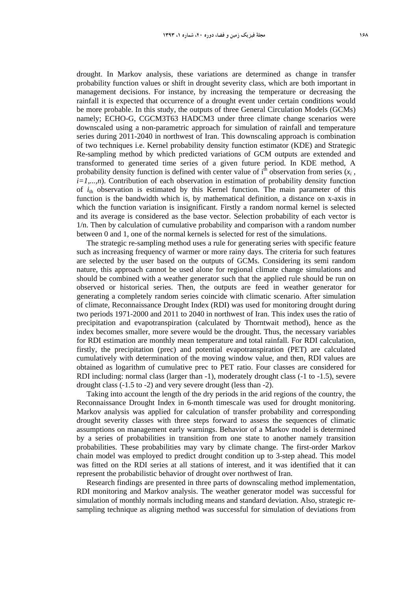drought. In Markov analysis, these variations are determined as change in transfer probability function values or shift in drought severity class, which are both important in management decisions. For instance, by increasing the temperature or decreasing the rainfall it is expected that occurrence of a drought event under certain conditions would be more probable. In this study, the outputs of three General Circulation Models (GCMs) namely; ECHO-G, CGCM3T63 HADCM3 under three climate change scenarios were downscaled using a non-parametric approach for simulation of rainfall and temperature series during 2011-2040 in northwest of Iran. This downscaling approach is combination of two techniques i.e. Kernel probability density function estimator (KDE) and Strategic Re-sampling method by which predicted variations of GCM outputs are extended and transformed to generated time series of a given future period. In KDE method, A probability density function is defined with center value of  $i<sup>th</sup>$  observation from series  $(x<sub>i</sub>)$ , *i=1,...,n*). Contribution of each observation in estimation of probability density function of  $i_{\text{th}}$  observation is estimated by this Kernel function. The main parameter of this function is the bandwidth which is, by mathematical definition, a distance on x-axis in which the function variation is insignificant. Firstly a random normal kernel is selected and its average is considered as the base vector. Selection probability of each vector is 1/n. Then by calculation of cumulative probability and comparison with a random number between 0 and 1, one of the normal kernels is selected for rest of the simulations.

The strategic re-sampling method uses a rule for generating series with specific feature such as increasing frequency of warmer or more rainy days. The criteria for such features are selected by the user based on the outputs of GCMs. Considering its semi random nature, this approach cannot be used alone for regional climate change simulations and should be combined with a weather generator such that the applied rule should be run on observed or historical series. Then, the outputs are feed in weather generator for generating a completely random series coincide with climatic scenario. After simulation of climate, Reconnaissance Drought Index (RDI) was used for monitoring drought during two periods 1971-2000 and 2011 to 2040 in northwest of Iran. This index uses the ratio of precipitation and evapotranspiration (calculated by Thorntwait method), hence as the index becomes smaller, more severe would be the drought. Thus, the necessary variables for RDI estimation are monthly mean temperature and total rainfall. For RDI calculation, firstly, the precipitation (prec) and potential evapotranspiration (PET) are calculated cumulatively with determination of the moving window value, and then, RDI values are obtained as logarithm of cumulative prec to PET ratio. Four classes are considered for RDI including: normal class (larger than -1), moderately drought class (-1 to -1.5), severe drought class (-1.5 to -2) and very severe drought (less than -2).

Taking into account the length of the dry periods in the arid regions of the country, the Reconnaissance Drought Index in 6-month timescale was used for drought monitoring. Markov analysis was applied for calculation of transfer probability and corresponding drought severity classes with three steps forward to assess the sequences of climatic assumptions on management early warnings. Behavior of a Markov model is determined by a series of probabilities in transition from one state to another namely transition probabilities. These probabilities may vary by climate change. The first-order Markov chain model was employed to predict drought condition up to 3-step ahead. This model was fitted on the RDI series at all stations of interest, and it was identified that it can represent the probabilistic behavior of drought over northwest of Iran.

Research findings are presented in three parts of downscaling method implementation, RDI monitoring and Markov analysis. The weather generator model was successful for simulation of monthly normals including means and standard deviation. Also, strategic resampling technique as aligning method was successful for simulation of deviations from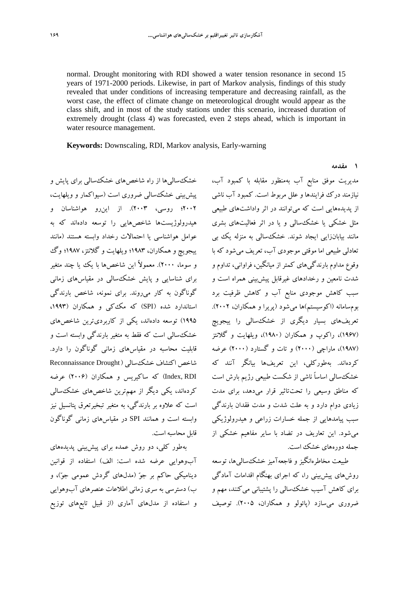normal. Drought monitoring with RDI showed a water tension resonance in second 15 years of 1971-2000 periods. Likewise, in part of Markov analysis, findings of this study revealed that under conditions of increasing temperature and decreasing rainfall, as the worst case, the effect of climate change on meteorological drought would appear as the class shift, and in most of the study stations under this scenario, increased duration of extremely drought (class 4) was forecasted, even 2 steps ahead, which is important in water resource management.

**Keywords:** Downscaling, RDI, Markov analysis, Early-warning

خشكساليها از راه شاخصهاي خشكسالي براي پايش و پيشبيني خشكسالي ضروري است (سيواكمار و ويلهايت، 2002؛ روسي، 2003). از اينرو هواشناسان و هيدرولوژيستها شاخصهايي را توسعه دادهاند كه به عوامل هواشناسي يا احتمالات رخداد وابسته هستند (مانند ييجويچ و همكاران، 1983؛ ويلهايت و گلانتز، 1987؛ وگ و سوما، 2000). معمولاً اين شاخصها با يك يا چند متغير براي شناسايي و پايش خشكسالي در مقياسهاي زماني گوناگون به كار ميروند. براي نمونه، شاخص بارندگي استاندارد شده (SPI) كه مكككي و همكاران (۱۹۹۳، 1995) توسعه دادهاند، يكي از كاربرديترين شاخصهاي خشكسالي است كه فقط به متغير بارندگي وابسته است و قابليت محاسبه در مقياسهاي زماني گوناگون را دارد. شاخص اكتشاف خشكسالي ( Drought Reconnaissance RDI ,Index (كه ساكيريس و همكاران (2006) عرضه كردهاند، يكي ديگر از مهمترين شاخصهاي خشكسالي است كه علاوه بر بارندگي، به متغير تبخيرتعرق پتانسيل نيز وابسته است و همانند SPI در مقياسهاي زماني گوناگون قابل محاسبه است.

بهطور كلي، دو روش عمده براي پيشبيني پديدههاي آبوهوايي عرضه شده است: الف) استفاده از قوانين ديناميكي حاكم بر جو) مدلهاي گردش عمومي جو(، و ب) دسترسي به سري زماني اطلاعات عنصرهاي آبوهوايي و استفاده از مدلهاي آماري (از قبيل تابعهاي توزيع

مديريت موفق منابع آب بهمنظور مقابله با كمبود آب، نيازمند درك فرايندها و علل مربوط است. كمبود آب ناشي از پديدههايي است كه ميتوانند در اثر واداشتهاي طبيعي مثل خشكي يا خشكسالي و يا در اثر فعاليتهاي بشري مانند بيابانزايي ايجاد شوند. خشكسالي به منزله يك بي تعادلي طبيعي اما موقتي موجودي آب، تعريف ميشود كه با وقوع مداوم بارندگيهاي كمتر از ميانگين، فراواني، تداوم و شدت نامعين و رخدادهاي غيرقابل پيشبيني همراه است و سبب كاهش موجودي منابع آب و كاهش ظرفيت برد بومسامانه (اكوسيستم)ها ميشود (پريرا و همكاران، 2002). تعريفهاي بسيار ديگري از خشكسالي را ييجويچ (1967)، راكوپ و همكاران (1980)، ويلهايت و گلانتز (1987)، ماراچي (2000) و تات و گستارد (2000) عرضه كردهاند. بهطوركلي، اين تعريفها بيانگر آنند كه خشكسالي اساساً ناشي از شكست طبيعي رژيم بارش است كه مناطق وسيعي را تحتتاثير قرار ميدهد، براي مدت زيادي دوام دارد و به علت شدت و مدت فقدان بارندگي سبب پيامدهايي از جمله خسارات زراعي و هيدرولوژيكي ميشود. اين تعاريف در تضاد با ساير مفاهيم خشكي از جمله دورههاي خشك است.

طبيعت مخاطرهانگيز و فاجعهآميز خشكساليها، توسعه روشهاي پيشبيني را، كه اجراي بهنگام اقدامات آمادگي براي كاهش آسيب خشكسالي را پشتيباني ميكنند، مهم و ضروري ميسازد (پائولو و همكاران، 2005). توصيف

#### **1 مقدمه**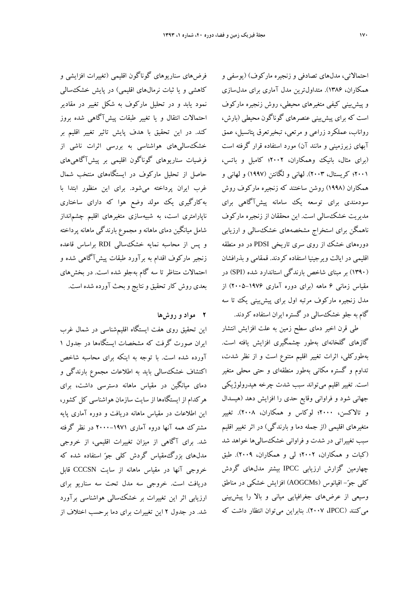احتمالاتي، مدلهاي تصادفي و زنجيره ماركوف) (يوسفي و همكاران، 1386). متداولترين مدل آماري براي مدلسازي و پيشبيني كيفي متغيرهاي محيطي، روش زنجيره ماركوف است كه براي پيشبيني عنصرهاي گوناگون محيطي (بارش، رواناب، عملكرد زراعي و مرتعي، تبخيرتعرق پتانسيل، عمق آبهاي زيرزميني و مانند آن) مورد استفاده قرار گرفته است (براي مثال، بانيك وهمكاران، 2002؛ كامبل و باتس، 2001؛ كريستال، 2003). لهاني و لگانتن (1997) و لهاني و همكاران (1998) روشن ساختند كه زنجيره ماركوف روش سودمندي براي توسعه يك سامانه پيشآگاهي براي مديريت خشكسالي است. اين محققان از زنجيره ماركوف ناهمگن براي استخراج مشخصههاي خشكسالي و ارزيابي دورههاي خشك از روي سري تاريخي PDSI در دو منطقه اقليمي در ايالت ويرجينيا استفاده كردند. قمقامي و بذرافشان (1390) بر مبناي شاخص بارندگي استاندارد شده (SPI (در مقياس زماني 6 ماهه (براي دوره آماري 2005-1976) از مدل زنجيره ماركوف مرتبه اول براي پيشبيني يك تا سه گام به جلو خشكسالي در گستره ايران استفاده كردند.

طي قرن اخير دماي سطح زمين به علت افزايش انتشار گازهاي گلخانهاي بهطور چشمگيري افزايش يافته است. بهطوركلي، اثرات تغيير اقليم متنوع است و از نظر شدت، تداوم و گستره مكاني بهطور منطقهاي و حتي محلي متغير است. تغيير اقليم ميتواند سبب شدت چرخه هيدرولوژيكي جهاني شود و فراواني وقايع حدي را افزايش دهد (هيسدال و تالاكسن، 2000؛ لوكاس و همكاران، 2008). تغيير متغيرهاي اقليمي (از جمله دما و بارندگي) در اثر تغيير اقليم سبب تغييراتي در شدت و فراواني خشكساليها خواهد شد (كبات و همكاران، 2002؛ لي و همكاران، 2009). طبق چهارمين گزارش ارزيابي IPCC بيشتر مدلهاي گردش كلي جو- اقيانوس (AOGCMs (افزايش خشكي در مناطق وسيعي از عرضهاي جغرافيايي مياني و بالا را پيشبيني ميكنند (IPCC، 2007(. بنابراين ميتوان انتظار داشت كه

فرضهاي سناريوهاي گوناگون اقليمي (تغييرات افزايشي و كاهشي و يا ثبات نرمالهاي اقليمي) در پايش خشكسالي نمود يابد و در تحليل ماركوف به شكل تغيير در مقادير احتمالات انتقال و يا تغيير طبقات پيشآگاهي شده بروز كند. در اين تحقيق با هدف پايش تاثير تغيير اقليم بر خشكساليهاي هواشناسي به بررسي اثرات ناشي از فرضيات سناريوهاي گوناگون اقليمي بر پيشآگاهيهاي حاصل از تحليل ماركوف در ايستگاههاي منتخب شمال غرب ايران پرداخته ميشود. براي اين منظور ابتدا با بهكارگيري يك مولد وضع هوا كه داراي ساختاري ناپارامتري است، به شبيهسازي متغيرهاي اقليم چشمانداز شامل ميانگين دماي ماهانه و مجموع بارندگي ماهانه پرداخته و پس از محاسبه نمايه خشكسالي RDI براساس قاعده زنجير ماركوف اقدام به برآورد طبقات پيشآگاهي شده و احتمالات متناظر تا سه گام بهجلو شده است. در بخشهاي بعدي روش كار تحقيق و نتايج و بحث آورده شده است.

## **2 مواد و روشها**

اين تحقيق روي هفت ايستگاه اقليمشناسي در شمال غرب ايران صورت گرفت كه مشخصات ايستگاهها در جدول 1 آورده شده است. با توجه به اينكه براي محاسبه شاخص اكتشاف خشكسالي بايد به اطلاعات مجموع بارندگي و دماي ميانگين در مقياس ماهانه دسترسي داشت، براي هركدام از ايستگاهها از سايت سازمان هواشناسي كل كشور، اين اطلاعات در مقياس ماهانه دريافت و دوره آماري پايه مشترك همه آنها دروه آماري 2000-1971 در نظر گرفته شد. براي آگاهي از ميزان تغييرات اقليمي، از خروجي مدلهاي بزرگمقياس گردش كلي جو استفاده شده كه خروجي آنها در مقياس ماهانه از سايت CCCSN قابل دريافت است. خروجي سه مدل تحت سه سناريو براي ارزيابي اثر اين تغييرات بر خشكسالي هواشناسي برآورد شد. در جدول 2 اين تغييرات براي دما برحسب اختلاف از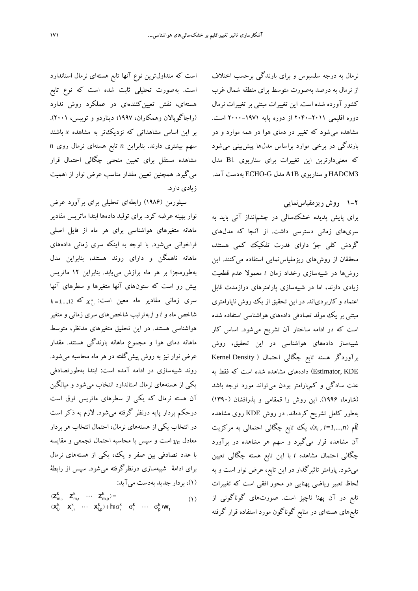نرمال به درجه سلسيوس و براي بارندگي برحسب اختلاف از نرمال به درصد بهصورت متوسط براي منطقه شمال غرب كشور آورده شده است. اين تغييرات مبتني بر تغييرات نرمال دوره اقليمي -2011 2040 از دوره پايه 2000-1971 است. مشاهده ميشود كه تغيير در دماي هوا در همه موارد و در بارندگي در برخي موارد براساس مدلها پيشبيني ميشود كه معنيدارترين اين تغييرات براي سناريوي 1B مدل 3HADCM و سناريوي B1A مدل G-ECHO بهدست آمد.

# **1-2 روش ريزمقياسنمايي**

براي پايش پديده خشكسالي در چشمانداز آتي بايد به سريهاي زماني دسترسي داشت. از آنجا كه مدلهاي گردش كلي جو داراي قدرت تفكيك كمي هستند، محققان از روشهاي ريزمقياسنمايي استفاده ميكنند. اين روشها در شبيهسازي رخداد زمان *t* معمولا عدم قطعيت زيادي دارند، اما در شبيهسازي پارامترهاي درازمدت قابل اعتماد و كاربردياند. در اين تحقيق از يك روش ناپارامتري مبتني بر يك مولد تصادفي دادههاي هواشناسي استفاده شده است كه در ادامه ساختار آن تشريح ميشود. اساس كار شبيهساز دادههاي هواشناسي در اين تحقيق، روش برآوردگر هسته تابع چگالي احتمال ( Density Kernel KDE ,Estimator (دادههاي مشاهده شده است كه فقط به علت سادگي و كمپارامتر بودن ميتواند مورد توجه باشد (شارما، 1996). اين روش را قمقامي و بذرافشان (1390) بهطور كامل تشريح كردهاند. در روش KDE روي مشاهده *i*اُم (*n1,...,=i , xi*(، يك تابع چگالي احتمالي به مركزيت آن مشاهده قرار ميگيرد و سهم هر مشاهده در برآورد چگالي احتمال مشاهده *i* با اين تابع هسته چگالي تعيين ميشود. پارامتر تاثيرگذار در اين تابع، عرض نوار است و به لحاظ تعبير رياضي پهنايي در محور افقي است كه تغييرات تابع در آن پهنا ناچيز است. صورتهاي گوناگوني از تابعهاي هستهاي در منابع گوناگون مورد استفاده قرار گرفته

است كه متداولترين نوع آنها تابع هستهاي نرمال استاندارد است. بهصورت تحليلي ثابت شده است كه نوع تابع هستهاي، نقش تعيينكنندهاي در عملكرد روش ندارد (راجاگوپالان وهمكاران، 1997؛ ديناردو و توبيس، 2001). بر اين اساس مشاهداتي كه نزديكتر به مشاهده *x* باشند سهم بيشتري دارند. بنابراين *n* تابع هستهاي نرمال روي *n* مشاهده مستقل براي تعيين منحني چگالي احتمال قرار ميگيرد. همچنين تعيين مقدار مناسب عرض نوار از اهميت زيادي دارد.

سيلورمن (1986) رابطهاي تحليلي براي برآورد عرض نوار بهينه عرضه كرد. براي توليد دادهها ابتدا ماتريس مقادير ماهانه متغيرهاي هواشناسي براي هر ماه از فايل اصلي فراخواني ميشود. با توجه به اينكه سري زماني دادههاي ماهانه ناهمگن و داراي روند هستند، بنابراين مدل بهطورمجزا بر هر ماه برازش مييابد. بنابراين 12 ماتريس پيش رو است كه ستونهاي آنها متغيرها و سطرهاي آنها  $k = 1,...,12$  كه  $X_{i,j}^k$  كه  $X_{i,j}^k$  , مقادير ماه معين است: شاخص ماه و *i* و *j* بهترتيب شاخصهاي سري زماني و متغير هواشناسي هستند. در اين تحقيق متغيرهاي مدنظر، متوسط ماهانه دماي هوا و مجموع ماهانه بارندگي هستند. مقدار عرض نوار نيز به روش پيشگفته در هر ماه محاسبه ميشود. روند شبيهسازي در ادامه آمده است: ابتدا بهطورتصادفي يكي از هستههاي نرمال استاندارد انتخاب ميشود و ميانگين آن هسته نرمال كه يكي از سطرهاي ماتريس فوق است درحكم بردار پايه درنظر گرفته ميشود. لازم به ذكر است در انتخاب يكي از هستههاي نرمال، احتمال انتخاب هر بردار معادل *<sup>n</sup>* <sup>1</sup> است و سپس با محاسبه احتمال تجمعي و مقايسه با عدد تصادفي بين صفر و يك، يكي از هستههاي نرمال براي ادامة شبيهسازي درنظرگرفته ميشود. سپس از رابطة (1)، بردار جديد بهدست ميآيد:

$$
\begin{array}{l}\ (z_{m_i}^k\quad \ \ z_{m_i}^k\quad \cdots\quad \ \ z_{m_p}^k)=\\ (x_{i_i}^k\quad \ \ x_{i,\tau}^k\quad \cdots\quad \ \ x_{i,p}^k)+h(\sigma_i^k\quad \ \ \sigma_{\tau}^k\quad \cdots\quad \ \ \sigma_p^k)W_t\end{array}\eqno(\text{1})
$$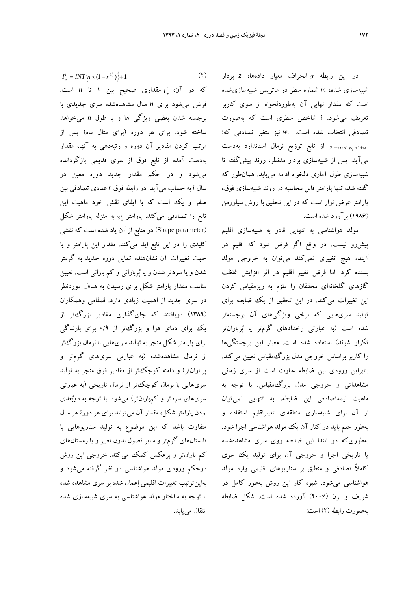در اين رابطه انحراف معيار دادهها، *z* بردار شبيهسازي شده، *m* شماره سطر در ماتريس شبيهسازيشده است كه مقدار نهايي آن بهطوردلخواه از سوي كاربر تعريف ميشود. *i* شاخص سطري است كه بهصورت : *<sup>t</sup>* نيز متغير تصادفي كه تصادفي انتخاب شده است. *w wt* و از تابع توزيع نرمال استاندارد بهدست ميآيد. پس از شبيهسازي بردار مدنظر، روند پيشگفته تا شبيهسازي طول آماري دلخواه ادامه مييابد. همانطور كه گفته شد، تنها پارامتر قابل محاسبه در روند شبيهسازي فوق، پارامتر عرض نوار است كه در اين تحقيق با روش سيلورمن (1986) برآورد شده است.

مولد هواشناسي به تنهايي قادر به شبيهسازي اقليم پيشرو نيست. در واقع اگر فرض شود كه اقليم در آينده هيچ تغييري نميكند ميتوان به خروجي مولد بسنده كرد. اما فرض تغيير اقليم در اثر افزايش غلظت گازهاي گلخانهاي محققان را ملزم به ريزمقياس كردن اين تغييرات ميكند. در اين تحقيق از يك ضابطه براي توليد سريهايي كه برخي ويژگيهاي آن برجستهتر شده است (به عبارتي رخدادهاي گرمتر يا پربارانتر تكرار شوند) استفاده شده است. معيار اين برجستگيها را كاربر براساس خروجي مدل بزرگ مقياس تعيين ميكند. بنابراين ورودي اين ضابطه عبارت است از سري زماني مشاهداتي و خروجي مدل بزرگمقياس. با توجه به ماهيت نيمهتصادفي اين ضابطه، به تنهايي نميتوان از آن براي شبيهسازي منطقهاي تغييراقليم استفاده و بهطور حتم بايد در كنار آن يك مولد هواشناسي اجرا شود. بهطوريكه در ابتدا اين ضابطه روي سري مشاهدهشده يا تاريخي اجرا و خروجي آن براي توليد يك سري كاملاً تصادفي و منطبق بر سناريوهاي اقليمي وارد مولد هواشناسي ميشود. شيوه كار اين روش بهطور كامل در شريف و برن (2006) آورده شده است. شكل ضابطه بهصورت رابطه (2) است:

$$
I_w^i = INT\left\{ n \times (1 - r^{S_w^i}) \right\} + 1 \tag{Y}
$$

*I* مقداري صحيح بين 1 تا *n* است. *<sup>w</sup>* كه در آن، *<sup>i</sup>* فرض ميشود براي *n* سال مشاهدهشده سري جديدي با برجسته شدن بعضي ويژگي ها و با طول *n* ميخواهد ساخته شود. براي هر دوره (براي مثال ماه) پس از مرتب كردن مقادير آن دوره و رتبهدهي به آنها، مقدار بهدست آمده از تابع فوق از سري قديمي بازگردانده ميشود و در حكم مقدار جديد دوره معين در سال *i* به حساب ميآيد. در رابطه فوق *r* عددي تصادفي بين صفر و يك است كه با ايفاي نقش خود ماهيت اين *i* تابع را تصادفي ميكند. پارامتر *<sup>S</sup>* به منزله پارامتر شكل *<sup>w</sup>* (Shape parameter) در منابع از آن ياد شده است كه نقشي كليدي را در اين تابع ايفا ميكند. مقدار اين پارامتر و يا جهت تغييرات آن نشانهنده تمايل دوره جديد به گرمتر شدن و يا سردتر شدن و يا پرباراني و كم باراني است. تعيين مناسب مقدار پارامتر شكل براي رسيدن به هدف موردنظر در سري جديد از اهميت زيادي دارد. قمقامي وهمكاران (1389) دريافتند كه جايگذاري مقادير بزرگتر از يك براي دماي هوا و بزرگتر از 0/9 براي بارندگي براي پارامتر شكل منجر به توليد سريهايي با نرمال بزرگتر از نرمال مشاهدهشده (به عبارتي سريهاي گرمتر و پربارانتر) و دامنه كوچكتر از مقادير فوق منجر به توليد سريهايي با نرمال كوچكتر از نرمال تاريخي (به عبارتي سريهاي سردتر و كمبارانتر) ميشود. با توجه به دوبعدي بودن پارامتر شكل، مقدار آن ميتواند براي هر دورة هر سال متفاوت باشد كه اين موضوع به توليد سناريوهايي با تابستانهاي گرمتر و ساير فصول بدون تغيير و يا زمستانهاي كم بارانتر و برعكس كمك ميكند. خروجي اين روش درحكم ورودي مولد هواشناسي در نظر گرفته ميشود و بهاينترتيب تغييرات اقليمي اعمال شده بر سري مشاهده شده با توجه به ساختار مولد هواشناسي به سري شبيهسازي شده انتقال مي بابد.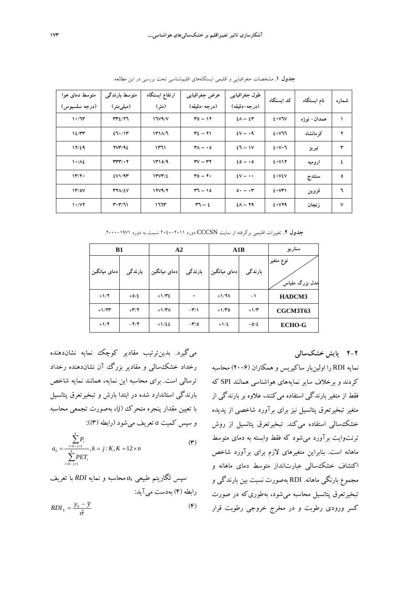| متوسط دمای هوا<br>(درجه سلسيوس) | متوسط بارندگی<br>(میلمی متر)             | ارتفاع ايستگاه<br>(متر) | عرض جغرافيايي<br>(درجه-دقيقه)                   | طول جغرافيايي<br>(درجه-دقيقه) | کد استگاه | نام ایستگاه  | شمار ه  |
|---------------------------------|------------------------------------------|-------------------------|-------------------------------------------------|-------------------------------|-----------|--------------|---------|
| 1.77                            | 3717                                     | 17V4/V                  | $\mathbf{r} \circ - \mathbf{v} \cdot$           | $2\lambda - 2\tau$            | 2.5V      | همدان– نو ژه | ١       |
| 12/77                           | 27.717                                   | 1411/7                  | $\tau z - \tau v$                               | $2V - 19$                     | 2.477     | کر مانشاہ    | ۲       |
| 17/29                           | YVY/92                                   | ۱۳٦۱                    | $\mathsf{r}_{\Lambda}$ - 0                      | $27 - 11$                     | 2.11      | تبريز        | ٣       |
| $1.1\%$                         | $rrrr/\cdot 7$                           | 1410/9                  | $\mathbf{r} \mathbf{v} - \mathbf{r} \mathbf{r}$ | $20 - 0$                      | 2.117     | ار و میه     | ٤       |
| $\mathbf{Y}^{\prime}$           | EVM/4T                                   | 1444/2                  | $ro - r \cdot$                                  | $2V - \cdots$                 | 2.1       | سنندج        | $\circ$ |
| 17/0V                           | <b>٣٢٨/٤٧</b>                            | 17V4/Y                  | $57 - 10$                                       | $0 \cdot - \cdot r$           | 2.5       | قزوين        | ٦       |
| 1.77                            | $\mathbf{r} \cdot \mathbf{r}/\mathbf{v}$ | ۱٦٦٣                    | $\mathbf{r} - \mathbf{r}$                       | $2\lambda - 79$               | 2.179     | ز نجان       | ٧       |

**جدول .1** مشخصات جغرافيايي و اقليمي ايستگاههاي اقليمشناسي تحت بررسي در اين مطالعه.

**جدول .2** تغييرات اقليمي برگرفته از سايت CCCSN دوره 2040-2011 نسبت به دوره -1971 .2000

| <b>B1</b>    |                          | A2              |                          | A1B             |           | سناريو                       |
|--------------|--------------------------|-----------------|--------------------------|-----------------|-----------|------------------------------|
| دمای میانگین | بارندگی                  | دمای میانگین    | بارندگی                  | دمای میانگین    | بارندگی   | نوع متغير<br>مدل بزرگ مقیاسَ |
| $+1/7$       | $+0/2$                   | $+1/\mathbf{r}$ | ٠                        | $+1/7\Lambda$   | $-1$      | HADCM3                       |
| $+1/7$       | $+\mathbf{Y}/\mathbf{Y}$ | $+1/\tau$       | $-\mathbf{r}/\mathbf{1}$ | $+1/\mathbf{r}$ | $+1/\tau$ | CGCM3T63                     |
| $+1/7$       | $-\mathbf{Y}/\mathbf{Y}$ | $+1/22$         | $-\tau/0$                | $+1/2$          | $-0/2$    | <b>ECHO-G</b>                |

**2-2 پايش خشكسالي** 

نمايه RDI را اولينبار ساكيريس و همكاران (2006) محاسبه كردند و برخلاف ساير نمايههاي هواشناسي همانند SPI كه فقط از متغير بارندگي استفاده ميكنند، علاوه بر بارندگي از متغير تبخيرتعرق پتانسيل نيز براي برآورد شاخصي از پديده خشكسالي استفاده ميكند. تبخيرتعرق پتانسيل از روش ترنتوايت برآورد ميشود كه فقط وابسته به دماي متوسط ماهانه است. بنابراين متغيرهاي لازم براي برآورد شاخص اكتشاف خشكسالي عبارتانداز متوسط دماي ماهانه و مجموع بارنگي ماهانه. RDI بهصورت نسبت بين بارندگي و تبخيرتعرق پتانسيل محاسبه ميشود، بهطوريكه در صورت كسر ورودي رطوبت و در مخرج خروجي رطوبت قرار

ميگيرد. بدينترتيب مقادير كوچك نمايه نشاندهنده رخداد خشكسالي و مقادير بزرگ آن نشاندهنده رخداد ترسالي است. براي محاسبه اين نمايه، همانند نمايه شاخص بارندگي استاندارد شده در ابتدا بارش و تبخيرتعرق پتانسيل با تعيين مقدار پنجره متحرك (*j*(، بهصورت تجمعي محاسبه و سپس كميت *a* تعريف ميشود (رابطه (3)):

$$
a_{k} = \frac{\sum_{i=k-j+1}^{k} P_{i}}{\sum_{i=k-j+1}^{k} P_{i} E T_{i}}, k = j : K, K = 12 \times n
$$
 (7)

سپس لگاریتم طبیعی 
$$
a_k
$$
محاسبه و نمایه *RDI* با تعریف  
رابطه (۴) بەدست می آید:  

$$
RDI_k = \frac{y_k - \overline{y}}{\hat{\sigma}}
$$
 (۴)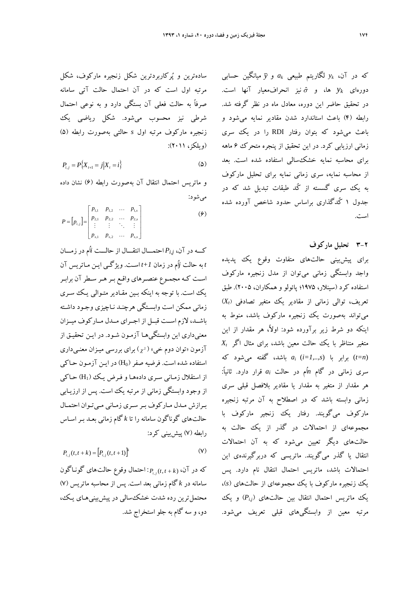سادهترين و پركاربردترين شكل زنجيره ماركوف، شكل مرتبه اول است كه در آن احتمال حالت آتي سامانه صرفاً به حالت فعلي آن بستگي دارد و به نوعي احتمال شرطي نيز محسوب ميشود. شكل رياضي يك زنجيره ماركوف مرتبه اول *s* حالتي بهصورت رابطه (5) (ويلكز، 2011):

$$
P_{i,j} = P\{X_{i+1} = j | X_i = i\}
$$
 (2)

و ماتريس احتمال انتقال آن بهصورت رابطه (6) نشان داده ميشود:

$$
P = [p_{i,j}] = \begin{bmatrix} p_{1,1} & p_{1,2} & \dots & p_{1,s} \\ p_{2,1} & p_{2,2} & \dots & p_{2,s} \\ \vdots & \vdots & \ddots & \vdots \\ p_{s,1} & p_{s,2} & \dots & p_{s,s} \end{bmatrix}
$$
 (9)

كـــه در آن، *j,Pi* احتمـــال انتقـــال از حالـــت *i*اُم در زمـــان *t* به حالت *j*اُم در زمان *+1t* اسـت. ويژگـي ايـن مـاتريس آن اسـت كـه مجمـوع عنصـرهاي واقـع بـرهـر سـطر آن برابـر يك است. با توجه به اينكه بـين مقـادير متـوالي يـك سـري زماني ممكن است وابسـتگي هرچنـد نـاچيزي وجـود داشـته باشــد، لازم اســت قبــل از اجــراي مــدل مــارك وف ميــزان معنيداري اين وابستگيهـا آزمـون شـود. در ايـن تحقيـق از آزمون «توان دوم خي» ( <sup>2</sup> ( براي بررسي ميـزان معنـيداري استفاده شده است. فرضيه صفر (H0) در ايـن آزمـون حـاكي از استقلال زمـاني سـري دادههـا و فـرض يـك (1H (حـاكي از وجود وابستگي زماني از مرتبه يك است. پس از ارزيـابي بـرازش مـدل مـاركوف بـر سـري زمـاني مـيتـوان احتمـال حالتهاي گوناگون سامانه را تا *k* گام زماني بعـد بـر اسـاس رابطه (7) پيشبيني كرد:

$$
P_{i,j}(t, t+k) = [P_{i,j}(t, t+1)]^{k}
$$
 (V)

 *<sup>j</sup> <sup>i</sup>* : احتمال وقوع حالتهاي گونـاگون *k t t P* , كه در آن، ( , ) سامانه در *k* گام زماني بعد است. پس از محاسبه ماتريس (7) محتمل ترين رده شدت خشك سالي در پيشبينيهاي يـك، دو، و سه گام به جلو استخراج شد. كه در آن، *yk* لگاريتم طبيعي *ak* و *y* ميانگين حسابي دورهاي *yk* ها، و <sup>ˆ</sup> نيز انحرافمعيار آنها است. در تحقيق حاضر اين دوره، معادل ماه در نظر گرفته شد. رابطه (4) باعث استاندارد شدن مقادير نمايه ميشود و باعث ميشود كه بتوان رفتار RDI را در يك سري زماني ارزيابي كرد. در اين تحقيق از پنجره متحرك 6 ماهه براي محاسبه نمايه خشكسالي استفاده شده است. بعد از محاسبه نمايه، سري زماني نمايه براي تحليل ماركوف به يك سري گسسته از كُد طبقات تبديل شد كه در جدول 1 كُدگذاري براساس حدود شاخص آورده شده است.

### **3-2 تحليل ماركوف**

براي پيشبيني حالتهاي متفاوت وقوع يك پديده واجد وابستگي زماني ميتوان از مدل زنجيره ماركوف استفاده كرد (سينلار، 1975؛ پائولو و همكاران، 2005). طبق ) *<sup>t</sup>* تعريف، توالي زماني از مقادير يك متغير تصادفي ( *X* ميتواند بهصورت يك زنجيره ماركوف باشد، منوط به اينكه دو شرط زير برآورده شود: اولا،ً هر مقدار از اين متغير متناظر با يك حالت معين باشد، براي مثال اگر *Xt* (*n=t* (برابر با (*s1,..,=i* (*ai* باشد، گفته ميشود كه سري زماني در گام *n*اُم در حالت *ai* قرار دارد. ثانيا:ً هر مقدار از متغير به مقدار يا مقادير بلافصل قبلي سري زماني وابسته باشد كه در اصطلاح به آن مرتبه زنجيره ماركوف ميگويند. رفتار يك زنجير ماركوف با مجموعهاي از احتمالات در گذر از يك حالت به حالتهاي ديگر تعيين ميشود كه به آن احتمالات انتقال يا گذر ميگويند. ماتريسي كه دربرگيرندهي اين احتمالات باشد، ماتريس احتمال انتقال نام دارد. پس يك زنجيره ماركوف با يك مجموعهاي از حالتهاي (*s*(، ) و يك *j,i* يك ماتريس احتمال انتقال بين حالتهاي ( *P* مرتبه معين از وابستگيهاي قبلي تعريف ميشود.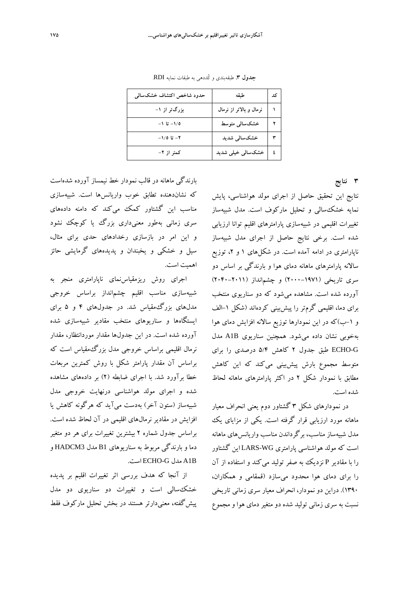| حدود شاخص اكتشاف خشكسالمي | طبقه                    | کد |
|---------------------------|-------------------------|----|
| بزرگتر از ۱-              | نرمال و بالاتر از نرمال |    |
| ۱/۵– تا ۱–                | خشکسالی متوسط           |    |
| ۲– تا ۱/۵–                | خشکسالی شدید            |    |
| کمتر از ۲–                | خشکسالی خیلی شدید       |    |

**جدول .3** طبقهبندي و كُددهي به طبقات نمايه RDI.

**3 نتايج** 

بارندگي ماهانه در قالب نمودار خط نيمساز آورده شدهاست كه نشاندهنده تطابق خوب واريانسها است. شبيهسازي مناسب اين گشتاور كمك ميكند كه دامنه دادههاي سري زماني بهطور معنيداري بزرگ يا كوچك نشود و اين امر در بازسازي رخدادهاي حدي براي مثال، سيل و خشكي و يخبندان و پديدههاي گرمايشي حائز اهميت است.

اجراي روش ريزمقياسنماي ناپارامتري منجر به شبيهسازي مناسب اقليم چشمانداز براساس خروجي مدلهاي بزرگمقياس شد. در جدولهاي 4 و 5 براي ايستگاهها و سناريوهاي منتخب مقادير شبيهسازي شده آورده شده است. در اين جدولها مقدار موردانتظار، مقدار نرمال اقليمي براساس خروجي مدل بزرگمقياس است كه براساس آن مقدار پارامتر شكل با روش كمترين مربعات خطا برآورد شد. با اجراي ضابطه (2) بر دادههاي مشاهده شده و اجراي مولد هواشناسي درنهايت خروجي مدل شبيهساز (ستون آخر) بهدست ميآيد كه هرگونه كاهش يا افزايش در مقادير نرمالهاي اقليمي در آن لحاظ شده است. براساس جدول شماره 2 بيشترين تغييرات براي هر دو متغير دما و بارندگي مربوط به سناريوهاي 1B مدل 3HADCM و .است ECHO-G مدل A1B

از آنجا كه هدف بررسي اثر تغييرات اقليم بر پديده خشكسالي است و تغييرات دو سناريوي دو مدل پيشگفته، معنيدارتر هستند در بخش تحليل ماركوف فقط

نتايج اين تحقيق حاصل از اجراي مولد هواشناسي، پايش نمايه خشكسالي و تحليل ماركوف است. مدل شبيهساز تغييرات اقليمي در شبيهسازي پارامترهاي اقليم توانا ارزيابي شده است. برخي نتايج حاصل از اجراي مدل شبيهساز ناپارامتري در ادامه آمده است. در شكلهاي ۱ و ۲، توزيع سالانه پارامترهاي ماهانه دماي هوا و بارندگي بر اساس دو سري تاريخي (2000-1971) و چشمانداز (2040-2011) آورده شده است. مشاهده ميشود كه دو سناريوي منتخب براي دما، اقليمي گرمتر را پيشبيني كردهاند (شكل -1الف و -1ب)كه در اين نمودارها توزيع سالانه افزايش دماي هوا بهخوبي نشان داده ميشود. همچنين سناريوي B1A مدل G-ECHO طبق جدول 2 كاهش 5/4 درصدي را براي متوسط مجموع بارش پيشبيني ميكند كه اين كاهش مطابق با نمودار شكل 2 در اكثر پارامترهاي ماهانه لحاظ شده است.

در نمودارهاي شكل 3 گشتاور دوم يعني انحراف معيار ماهانه مورد ارزيابي قرار گرفته است. يكي از مزاياي يك مدل شبيهساز مناسب، برگرداندن مناسب واريانسهاي ماهانه است كه مولد هواشناسي پارامتري WG-LARS اين گشتاور را با مقادير P نزديك به صفر توليد ميكند و استفاده از آن را براي دماي هوا محدود ميسازد (قمقامي و همكاران، 1390). دراين دو نمودار، انحراف معيار سري زماني تاريخي نسبت به سري زماني توليد شده دو متغيردماي هوا و مجموع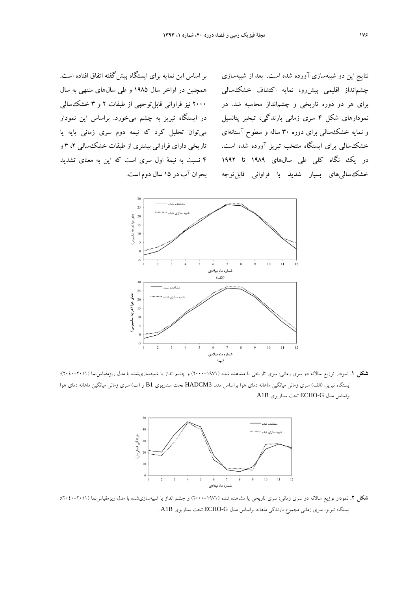بر اساس اين نمايه براي ايستگاه پيشگفته اتفاق افتاده است. همچنين در اواخر سال 1985 و طي سالهاي منتهي به سال 2000 نيز فراواني قابلتوجهي از طبقات 2 و 3 خشكسالي در ايستگاه تبريز به چشم ميخورد. براساس اين نمودار ميتوان تحليل كرد كه نيمه دوم سري زماني پايه يا تاريخي داراي فراواني بيشتري از طبقات خشك سالي ۲، ۳ و 4 نسبت به نيمة اول سري است كه اين به معناي تشديد بحران آب در 15 سال دوم است.

نتايج اين دو شبيهسازي آورده شده است. بعد از شبيهسازي چشمانداز اقليمي پيشرو، نمايه اكتشاف خشكسالي براي هر دو دوره تاريخي و چشمانداز محاسبه شد. در نمودارهاي شكل 4 سري زماني بارندگي، تبخير پتانسيل و نمايه خشكسالي براي دوره 30 ساله و سطوح آستانهاي خشكسالي براي ايستگاه منتخب تبريز آورده شده است. در يك نگاه كلي طي سال\$اي ۱۹۸۹ تا ۱۹۹۲ خشككسالي هاي بسيار شديد با فراواني قابل توجه



**شكل .1** نمودار توزيع سالانه دو سري زماني: سري تاريخي يا مشاهده شده (-1971 2000) و چشم انداز يا شبيهسازيشده با مدل ريزمقياسنما (2040-2011): ايستگاه تبريز، (الف) سري زماني ميانگين ماهانه دماي هوا براساس مدل 3HADCM تحت سناريوي 1B و (ب) سري زماني ميانگين ماهانه دماي هوا براساس مدل G-ECHO تحت سناريوي B1A.



**شكل .2** نمودار توزيع سالانه دو سري زماني: سري تاريخي يا مشاهده شده (-1971 2000) و چشم انداز يا شبيهسازيشده با مدل ريزمقياسنما (2040-2011): ايستگاه تبريز، سري زماني مجموع بارندگي ماهانه براساس مدل G-ECHO تحت سناريوي B1A .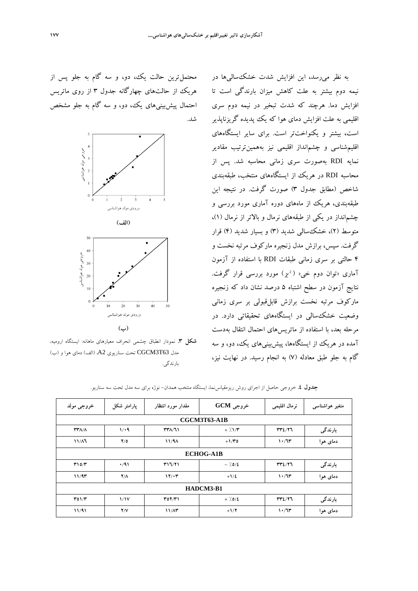به نظر ميرسد، اين افزايش شدت خشكساليها در نيمه دوم بيشتر به علت كاهش ميزان بارندگي است تا افزايش دما. هرچند كه شدت تبخير در نيمه دوم سري اقليمي به علت افزايش دماي هوا كه يك پديده گريزناپذير است، بيشتر و يكنواختتر است. براي ساير ايستگاههاي اقليمشناسي و چشمانداز اقليمي نيز بههمينترتيب مقادير نمايه RDI بهصورت سري زماني محاسبه شد. پس از محاسبه RDI در هريك از ايستگاههاي منتخب، طبقهبندي شاخص (مطابق جدول 3) صورت گرفت. در نتيجه اين طبقهبندي، هريك از ماههاي دوره آماري مورد بررسي و چشمانداز در يكي از طبقههاي نرمال و بالاتر از نرمال (1)، متوسط (2)، خشكسالي شديد (3) و بسيار شديد (4) قرار گرفت. سپس، برازش مدل زنجيره ماركوف مرتبه نخست و 4 حالتي بر سري زماني طبقات RDI با استفاده از آزمون آماری «توان دوم خي» ( 2 آ $\chi^2$ ) مورد بررسي قرار گرفت. نتايج آزمون در سطح اشتباه 5 درصد نشان داد كه زنجيره ماركوف مرتبه نخست برازش قابلقبولي بر سري زماني وضعيت خشكسالي در ايستگاههاي تحقيقاتي دارد. در مرحله بعد، با استفاده از ماتريسهاي احتمال انتقال بهدست آمده در هريك از ايستگاهها، پيشبينيهاي يك، دو، و سه گام به جلو طبق معادله (7) به انجام رسيد. در نهايت نيز،

محتملترين حالت يك، دو، و سه گام به جلو پس از هريك از حالتهاي چهارگانه جدول 3 از روي ماتريس احتمال پيشبينيهاي يك، دو، و سه گام به جلو مشخص شد.



**شكل .3** نمودار انطباق چشمي انحراف معيارهاي ماهانه: ايستگاه اروميه، مدل 63T3CGCM تحت سناريوي 2A،) الف) دماي هوا و (ب) بارندگي.

| خروجي مولد   | پارامتر شکل | مقدار مورد انتظار | $GCM$ خروجی         | نرمال اقليمي | متغیر ہواشناسی |
|--------------|-------------|-------------------|---------------------|--------------|----------------|
|              |             |                   | <b>CGCM3T63-A1B</b> |              |                |
| <b>٣٣٨/٨</b> | 1/4         | <b>٣٣٨/٦١</b>     | $+7.1/T$            | rr2/77       | بارندگی        |
| $11/\lambda$ | Y/O         | 11/9A             | $+1/40$             | 1.77         | دمای هوا       |
|              |             |                   | <b>ECHOG-A1B</b>    |              |                |
| T10/T        | $\cdot$ /91 | T17/T1            | $-7.0/2$            | rr2/77       | بارندگی        |
| 11/97        | $Y/\Lambda$ | 17/17             | $+1/2$              | 1.77         | دمای هوا       |
|              |             |                   | HADCM3-B1           |              |                |
| T01/T        | 1/1V        | $Y_0 Y/Y$         | $+7.0/2$            | rr2/77       | بارندگی        |
| 11/91        | Y/Y         | 11/A <sup>2</sup> | $+1/7$              | 1.77         | دمای هوا       |

**جدول .4** خروجي حاصل از اجراي روش ريزمقياسنما، ايستگاه منتخب همدان- نوژه براي سه مدل تحت سه سناريو.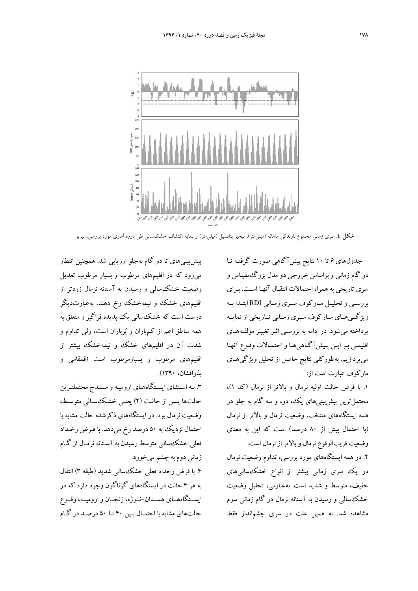

**شكل .4** سري زماني مجموع بارندگي ماهانه (ميليمتر)، تبخير پتانسيل (ميليمتر) و نمايه اكتشاف خشكسالي طي دوره آماري مورد بررسي، تبريز.

جدولهاي 6 تا 10 نتايج پيشآگاهي صورت گرفتـه تـا دو گام زماني و براساس خروجي دو مدل بزرگمقيـاس و سري تاريخي به همراه احتمالات انتقـال آنهـا اسـت. بـراي بررســي و تحليــل مــاركوف ســري زمــاني RDI ابتــدا بــه ويژگــيهــاي مــاركوف ســري زمــاني تــاريخي از نمايــه پرداخته ميشود. در ادامه به بررسـي اثـر تغييـر مولفـ ههـاي اقليمـي بـرايـن پـيشآگـاهيهـا واحتمـالات وقـوع آنهـا ميپردازيم. بهطوركلي نتايج حاصل از تحليل ويژگيهـاي ماركوف عبارت است از:

.1 با فرض حالت اوليه نرمال و بالاتر از نرمال (كد 1)، محتملترين پيشبينيهاي يك، دو، و سه گام به جلو در همه ايستگاههاي منتخب، وضعيت نرمال و بالاتر از نرمال (با احتمال بيش از 80 درصد) است كه اين به معناي وضعيت قريبالوقوع نرمال و بالاتراز نرمال است.

.2 در همه ايستگاههاي مورد بررسي، تداوم وضعيت نرمال در يك سري زماني بيشتر از انواع خشك سالي هاي خفيف، متوسط و شديد است. بهعبارتي، تحليل وضعيت خشكسالي و رسيدن به آستانه نرمال در گام زماني سوم مشاهده شد. به همين علت در سري چشمانداز فقط

پيشبينيهاي تا دو گام بهجلو ارزيابي شد. همچنين انتظار ميرود كه در اقليمهاي مرطوب و بسيار مرطوب تعديل وضعيت خشكسالي و رسيدن به آستانه نرمال زودتر از اقليمهاي خشك و نيمهخشك رخ دهند. بهعبارتديگر درست است كه خشكسالي يك پديده فراگير و متعلق به همه مناطق اعم از كمباران و پرباران است، ولي تداوم و شدت آن در اقليمهاي خشك و نيمهخشك بيشتر از اقليمهاي مرطوب و بسيارمرطوب است (قمقامي و بذرافشان، 1390).

.3 بـه اسـتثناي ايسـتگاههـاي اروميـه و سـنندج محتملتـرين حالتها پـس از حالـت (2) يعنـي خشـكسـالي متوسـط، وضعيت نرمال بود. در ايستگاههاي ذكرشده حالت مشابه با احتمال نزديك به 50 درصد رخ ميدهد. با فـرض رخـداد فعلي خشكسالي متوسط رسيدن به آسـتانه نرمـال از گـام زماني دوم به چشم ميخورد.

.4 با فرض رخداد فعلي خشكسالي شديد (طبقه 3) انتقال به هر 4 حالت در ايستگاههاي گوناگون وجود دارد كه در ايســتگاههــاي همــدان-نــوژه، زنجــان واروميــه،وقــوع حالتهاي مشابه با احتمـال بـين 40 تـا 50 درصـد در گـام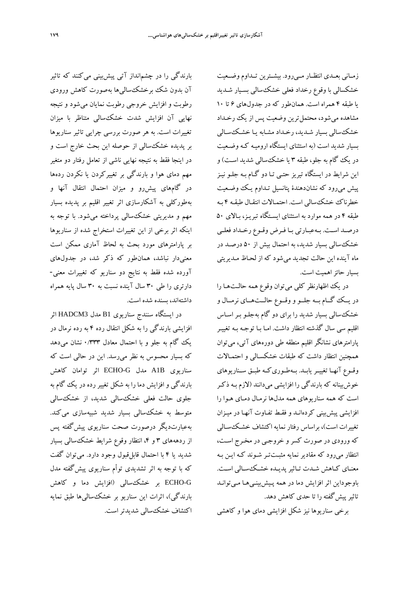زمــاني بعــدي انتظــار مــيرود. بيشــترين تــداوم وضــعيت خشكسالي با وقوع رخداد فعلي خشكسالي بسـيار شـديد يا طبقه 4 همراه است. همانطور كه در جدولهاي 6 تا 10 مشاهده مي شود، محتمل ترين وضعيت پس از يك رخـداد خشكسالي بسيار شـديد، رخـداد مشـابه يـا خشـكسـالي بسيار شديد است (به استثناي ايستگاه اروميـه كـه وضـعيت در يك گام به جلو، طبقه 3 يا خشكسالي شديد اسـت) و اين شرايط در ايستگاه تيريز حتـي تـا دو گـام بـه جلـو نيـز پيش ميرود كه نشاندهندة پتانسيل تـداوم يـك وضـعيت خطرناك خشكسالي است. احتمـالات انتقـال طبقـه 4 بـه طبقه 4 در همه موارد به استثناي ايسـتگاه تبريـز، بـالاي 50 درصـد اسـت. بـهعبـارتي بـا فـرض وقـوع رخـداد فعلـي خشكسالي بسيار شديد، به احتمال بيش از 50 درصـد در ماه آينده اين حالت تجديد ميشود كه از لحـاظ مـديريتي بسيار حائزاهميت است.

در يك اظهارنظر كلي ميتوان وقوع همه حالـتهـا را در يــك گــام بــه جلــو ووقــوع حالــتهــاي نرمــال و خشكسالي بسيار شديد را براي دو گام بهجلـو بـراسـاس اقليم سي سال گذشته انتظار داشت. امـا بـا توجـه بـه تغييـر پارامترهاي نشانگر اقليم منطقه طي دورههاي آتي، ميتوان همچنين انتظار داشت كه طبقات خشكسـالي و احتمـالات وقــوع آنهــا تغييــريابــد. بــهطــوريكــه طبــق ســناريوهاي خوشبينانه كه بارندگي را افزايشي ميدانند (لازم بـه ذكـر است كه همه سناريوهاي همه مدلها نرمـال دمـاي هـوا را افزايشي پيشبيني كردهانـد و فقـط تفـاوت آنهـا در ميـزان تغييرات است)، براساس رفتار نمايه اكتشاف خشـكسـالي كه ورودي در صورت كسر و خروجـي در مخـرج اسـت، انتظار ميرود كه مقادير نمايه مثبـتتـر شـوند كـه ايـن بـه معنـاي كـاهش شـدت تـاثيرپديـده خشـكسـالي اسـت. باوجوداين اثر افزايش دما در همه پـيشبينـيهـا مـيتوانـد تاثير پيش گفته را تا حدي كاهش دهد.

برخي سناريوها نيز شكل افزايشي دماي هوا و كاهشي

بارندگي را در چشمانداز آتي پيشبيني ميكنند كه تاثير آن بدون شك برخشكساليها بهصورت كاهش ورودي رطوبت و افزايش خروجي رطوبت نمايان ميشود و نتيجه نهايي آن افزايش شدت خشكسالي متناظر با ميزان تغييرات است. به هر صورت بررسي چرايي تاثير سناريوها بر پديده خشكسالي از حوصله اين بحث خارج است و در اينجا فقط به نتيجه نهايي ناشي از تعامل رفتار دو متغير مهم دماي هوا و بارندگي بر تغييركردن يا نكردن ردهها در گامهاي پيشرو و ميزان احتمال انتقال آنها و بهطوركلي به آشكارسازي اثر تغيير اقليم بر پديده بسيار مهم و مديريتي خشكسالي پرداخته ميشود. با توجه به اينكه اثر برخي از اين تغييرات استخراج شده از سناريوها بر پارامترهاي مورد بحث به لحاظ آماري ممكن است معنيدار نباشد، همانطور كه ذكر شد، در جدولهاي آورده شده فقط به نتايج دو سناريو كه تغييرات معني- دارتري را طي 30 سال آينده نسبت به 30 سال پايه همراه داشتهاند، بسنده شده است.

در ايستگاه سنندج سناريوي 1B مدل 3HADCM اثر افزايشي بارندگي را به شكل انتقال رده 4 به رده نرمال در يك گام به جلو و با احتمال معادل ۱٬۳۳۳ نشان ميدهد كه بسيار محسوس به نظر ميرسد. اين در حالي است كه سناريوي B1A مدل G-ECHO اثر توامان كاهش بارندگي وافزايش دما را به شكل تغييررده در يك گام به جلوي حالت فعلي خشكسالي شديد، از خشكسالي متوسط به خشكسالي بسيار شديد شبيهسازي ميكند. بهعبارتديگر درصورت صحت سناريوي پيشگفته پس از ردهههاي ٣ و ۴، انتظار وقوع شرايط خشكسالي بسيار شديد يا 4 با احتمال قابلقبول وجود دارد. ميتوان گفت كه با توجه به اثر تشديدي توأم سناريوي پيشگفته مدل G-ECHO بر خشكسالي (افزايش دما و كاهش بارندگي)، اثرات اين سناريو بر خشكساليها طبق نمايه اكتشاف خشكسالي شديدتراست.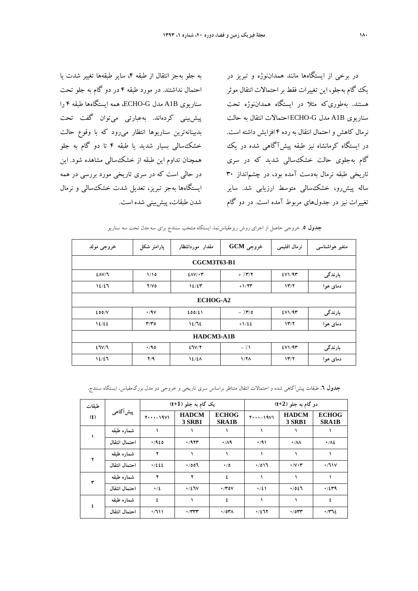به جلو بهجز انتقال از طبقه ،4 ساير طبقهها تغيير شدت يا احتمال نداشتند. در مورد طبقه 4 در دو گام به جلو تحت سناريوي B1A مدل G-ECHO، همه ايستگاهها طبقه 4 را پيشبيني كردهاند. بهعبارتي ميتوان گفت تحت بدبينانهترين سناريوها انتظار ميرود كه با وقوع حالت خشكسالي بسيار شديد يا طبقه 4 تا دو گام به جلو همچنان تداوم اين طبقه از خشكسالي مشاهده شود. اين در حالي است كه در سري تاريخي مورد بررسي در همه ايستگاهها بهجز تبريز، تعديل شدت خشكسالي و نرمال شدن طبقات، پيشبيني شده است.

در برخي از ايستگاهها مانند همداننوژه و تبريز در يك گام بهجلو، اين تغييرات فقط بر احتمالات انتقال موثر هستند. بهطوريكه مثلا در ايستگاه همداننوژه تحت سناريوي B1A مدل G-ECHO احتمالات انتقال به حالت نرمال كاهش و احتمال انتقال به رده 4 افزايش داشته است. در ايستگاه كرمانشاه نيز طبقه پيشآگاهي شده در يك گام بهجلوي حالت خشكسالي شديد كه در سري تاريخي طبقه نرمال بهدست آمده بود، در چشمانداز 30 ساله پيشرو، خشكسالي متوسط ارزيابي شد. ساير تغييرات نيز در جدولهاي مربوط آمده است. در دو گام

| خروجي مولد    | پارامتر شکل             | مقدار موردانتظار   | خروجی GCM         | نرمال اقليمي | متغیر ہواشناسی |
|---------------|-------------------------|--------------------|-------------------|--------------|----------------|
|               |                         | <b>CGCM3T63-B1</b> |                   |              |                |
| $2\Delta V/T$ | 1/10                    | $EAV/\cdot T$      | $+ \frac{7}{7}$   | EVM/4T       | بارندگی        |
| 12/27         | Y/V                     | 12/27              | $+1/77$           | 17/7         | دمای هوا       |
|               |                         | <b>ECHOG-A2</b>    |                   |              |                |
| 200/V         | $\cdot$ /9 $\vee$       | 200/21             | $ \frac{7}{7}$ /0 | EVI/9T       | بارندگی        |
| 12/22         | $\mathbf{r}/\mathbf{r}$ | 12/72              | $+1/22$           | 17/7         | دمای هوا       |
|               |                         | HADCM3-A1B         |                   |              |                |
| 27V/T         | 4/90                    | 27V/Y              | $-7.1$            | EVI/9T       | بارندگی        |
| 12/27         | Y/9                     | $12/2\Lambda$      | 1/7 <sub>A</sub>  | 17/7         | دمای هوا       |

**جدول .5** خروجي حاصل از اجراي روش ريزمقياسنما، ايستگاه منتخب سنندج براي سه مدل تحت سه سناريو.

**جدول .6** طبقات پيشآگاهي شده و احتمالات انتقال متناظر براساس سري تاريخي و خروجي دو مدل بزرگمقياس، ايستگاه سنندج**.**

| طبقات |               | یک گام به جلو (t+1)   |                               | دو گام به جلو (t+2)          |                              |                               |                              |
|-------|---------------|-----------------------|-------------------------------|------------------------------|------------------------------|-------------------------------|------------------------------|
| (t)   | پیشآگاهی      | $Y \cdot \cdot -19V1$ | <b>HADCM</b><br><b>3 SRB1</b> | <b>ECHOG</b><br><b>SRA1B</b> | $Y \cdot \cdot \cdot - 19V1$ | <b>HADCM</b><br><b>3 SRB1</b> | <b>ECHOG</b><br><b>SRA1B</b> |
|       | شماره طبقه    |                       |                               |                              |                              |                               |                              |
|       | احتمال انتقال | .420                  | 4/977                         | $\cdot$ / $\wedge$ 9         | $\cdot$ /91                  | $\cdot/\lambda\lambda$        | $\cdot/\lambda$              |
|       | شماره طبقه    | ۲                     |                               |                              |                              |                               |                              |
|       | احتمال انتقال | .1222                 | .001                          | $\cdot/0$                    | .7017                        | $\cdot/\vee\cdot\curlyvee$    | $\cdot/11V$                  |
| ۳     | شماره طبقه    | ۲                     | ۲                             | ٤                            |                              |                               |                              |
|       | احتمال انتقال | $\cdot/2$             | $\cdot$ /27 $V$               | $\cdot$ /۳٥۷                 | $\cdot/21$                   | .7027                         | $\cdot$ /٤٣٩                 |
| ٤     | شماره طبقه    | ٤                     |                               | ٤                            |                              |                               | ٤                            |
|       | احتمال انتقال | ۰/٦١١                 | $\cdot$ /۳۳۳                  | ۱٬۵۳۸                        | .7277                        | $\cdot$ /0۳۳                  | $\cdot$ / $\gamma$           |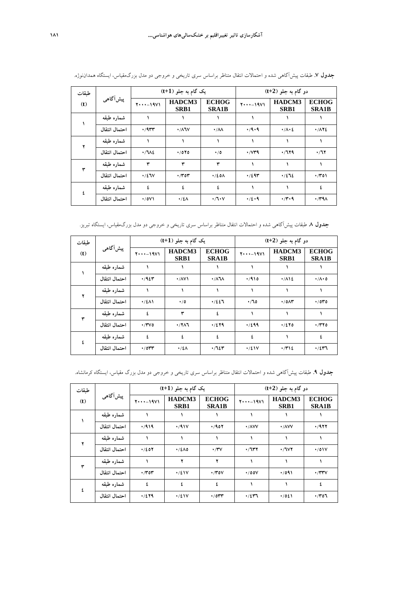| طبقات |               | یک گام به جلو (t+1)   |                           |                                   |                            | دو گام به جلو (t+2)    |                              |  |  |
|-------|---------------|-----------------------|---------------------------|-----------------------------------|----------------------------|------------------------|------------------------------|--|--|
| (t)   | پیشآگاهی      | $Y \cdot \cdot -19V1$ | HADCM3<br>SRB1            | <b>ECHOG</b><br><b>SRA1B</b>      | $Y \cdot \cdot - 19V1$     | HADCM3<br>SRB1         | <b>ECHOG</b><br><b>SRA1B</b> |  |  |
|       | شماره طبقه    |                       |                           |                                   |                            |                        |                              |  |  |
|       | احتمال انتقال | $\cdot$ /9٣٣          | $\cdot$ / $\wedge$ $\vee$ | $\cdot/\lambda\lambda$            | $\cdot$ /9 $\cdot$ 9       | $\cdot/\Lambda\cdot 2$ | $\cdot$ /172                 |  |  |
|       | شماره طبقه    |                       |                           |                                   |                            |                        |                              |  |  |
|       | احتمال انتقال | $\cdot$ /712          | $\cdot$ /070              | $\cdot/0$                         | $\cdot$ / $\vee$ $\star$ 9 | .7179                  | $\cdot/17$                   |  |  |
|       | شماره طبقه    | ٣                     | ۳                         | ٣                                 |                            |                        |                              |  |  |
|       | احتمال انتقال | $\cdot/2$ JV          | $\cdot$ /۳٥۳              | $\cdot$ /20 $\Lambda$             | $\cdot$ /295               | .1275                  | $\cdot$ /۳٥۱                 |  |  |
| ٤     | شماره طبقه    | ٤                     | ٤                         | ٤                                 |                            |                        | ٤                            |  |  |
|       | احتمال انتقال | $\cdot$ /071          | $\cdot/2\Lambda$          | $\cdot / \sqrt{1} \cdot \sqrt{1}$ | 4/2.9                      | $\cdot$ /۳ $\cdot$ ۹   | $\cdot$ /۳۹۸                 |  |  |

**جدول .7** طبقات پيشآگاهي شده و احتمالات انتقال متناظر براساس سري تاريخي و خروجي دو مدل بزرگمقياس، ايستگاه همداننوژه.

**جدول .8** طبقات پيشآگاهي شده و احتمالات انتقال متناظر براساس سري تاريخي و خروجي دو مدل بزرگمقياس، ايستگاه تبريز.

| طبقات |               |                       | یک گام به جلو (t+1)           |                               |                       | دو گام به جلو (t+2)      |                              |  |  |
|-------|---------------|-----------------------|-------------------------------|-------------------------------|-----------------------|--------------------------|------------------------------|--|--|
| (t)   | پیشآگاهی      | $Y \cdot \cdot -19V1$ | HADCM3<br>SRB1                | <b>ECHOG</b><br><b>SRA1B</b>  | $Y \cdot \cdot -19V1$ | HADCM3<br>SRB1           | <b>ECHOG</b><br><b>SRA1B</b> |  |  |
|       | شماره طبقه    |                       |                               |                               |                       |                          |                              |  |  |
|       | احتمال انتقال | .42                   | $\cdot$ / $\wedge$ V $\wedge$ | $\cdot$ / $\lambda$ $\lambda$ | 410                   | $\cdot$ / $\wedge$ \2    | $\cdot/\Lambda\cdot$ 0       |  |  |
|       | شماره طبقه    |                       |                               |                               |                       |                          |                              |  |  |
|       | احتمال انتقال | $\cdot$ /٤٨١          | $\cdot/0$                     | .7227                         | $\cdot$ / 10          | $\cdot$ / 0 $\wedge\tau$ | $\cdot$ 100                  |  |  |
| ٣     | شماره طبقه    | ٤                     | ۳                             | ٤                             |                       |                          |                              |  |  |
|       | احتمال انتقال | $\cdot$ /۳۷٥          | $\cdot$ /۲۸٦                  | .7279                         | 1/299                 | .1270                    | $\cdot$ $/770$               |  |  |
| ٤     | شماره طبقه    | ٤                     | ٤                             | ٤                             | ٤                     |                          | ٤                            |  |  |
|       | احتمال انتقال | $\cdot$ /0۳۳          | ۰/٤٨                          | .7127                         | $\cdot$ /21V          | $\cdot$ /۳۱٤             | $\cdot$ /257                 |  |  |

| <b>جدول ۹</b> . طبقات پیش[گاهی شده و احتمالات انتقال متناظر براساس سری تاریخی و خروجی دو مدل بزرگ مقیاس، ایستگاه کرمانشاه. |  |  |  |  |  |
|----------------------------------------------------------------------------------------------------------------------------|--|--|--|--|--|
|----------------------------------------------------------------------------------------------------------------------------|--|--|--|--|--|

| طبقات |               | یک گام به جلو (t+1)   |                |                              | دو گام به جلو (t+2)              |                                  |                              |  |
|-------|---------------|-----------------------|----------------|------------------------------|----------------------------------|----------------------------------|------------------------------|--|
| (t)   | پیشآگاهی      | $Y \cdot \cdot -19V1$ | HADCM3<br>SRB1 | <b>ECHOG</b><br><b>SRA1B</b> | $Y \cdot \cdot - 19V1$           | HADCM3<br>SRB1                   | <b>ECHOG</b><br><b>SRA1B</b> |  |
|       | شماره طبقه    |                       |                |                              |                                  |                                  |                              |  |
|       | احتمال انتقال | 419                   | $\cdot$ /917   | .7907                        | $\cdot$ / $\wedge$ $\vee$ $\vee$ | $\cdot$ / $\wedge$ $\vee$ $\vee$ | 4/977                        |  |
|       | شماره طبقه    |                       |                |                              |                                  |                                  |                              |  |
|       | احتمال انتقال | 4/207                 | $\cdot$ /٤٨٥   | $\cdot$ /۳۷                  | ۰/٦٣٢                            | $\cdot$ /٦٧٢                     | $\cdot$ /01V                 |  |
| ٣     | شماره طبقه    |                       |                | ۲                            |                                  |                                  |                              |  |
|       | احتمال انتقال | $\cdot$ /۳٥۳          | $\cdot$ /21V   | $\cdot$ /۳٥۷                 | $\cdot$ /00V                     | ۰/٥٩١                            | $\cdot$ /۳۳۷                 |  |
| ٤     | شماره طبقه    | ٤                     | ٤              | ٤                            |                                  |                                  | ٤                            |  |
|       | احتمال انتقال | .7279                 | $\cdot/2$      | $\cdot$ /0۳۳                 | $\cdot$ /٤٣٦                     | $\cdot$ /021                     | $\cdot$ /۳٥٦                 |  |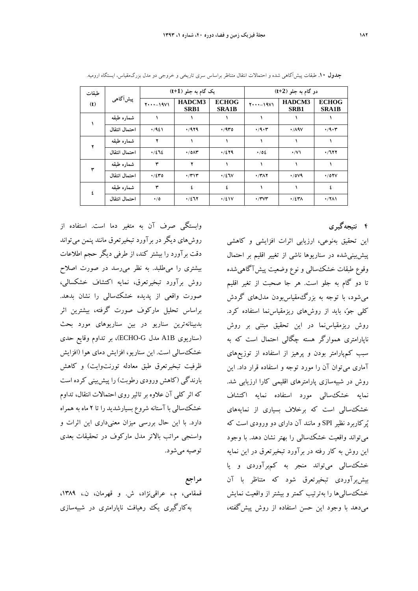| طبقات |               | یک گام به جلو (t+1)   |                          | دو گام به جلو (t+2)          |                              |                     |                              |
|-------|---------------|-----------------------|--------------------------|------------------------------|------------------------------|---------------------|------------------------------|
| (t)   | پیشآگاهی      | $Y \cdot \cdot -19V1$ | HADCM3<br>SRB1           | <b>ECHOG</b><br><b>SRA1B</b> | $Y \cdot \cdot \cdot - 19V1$ | HADCM3<br>SRB1      | <b>ECHOG</b><br><b>SRA1B</b> |
|       | شماره طبقه    |                       |                          |                              |                              |                     |                              |
|       | احتمال انتقال | .421                  | .7979                    | ۰/۹۳٥                        | $\cdot$ /9 $\cdot$ ۳         | $\cdot$ /19 $\vee$  | $\cdot$ /9 $\cdot$ ۳         |
|       | شماره طبقه    | ۲                     |                          |                              |                              |                     |                              |
|       | احتمال انتقال | .7272                 | $\cdot$ / 0 $\wedge\tau$ | .7279                        | $\cdot$ /02                  | $\cdot$ /V)         | $\cdot$ /727                 |
| ٣     | شماره طبقه    | ۳                     |                          |                              |                              |                     |                              |
|       | احتمال انتقال | .7240                 | $\cdot$ /۳۱۳             | $\cdot$ /27 $V$              | $\cdot$ /۳۸۲                 | $\cdot$ /0 $\vee$ 9 | $\cdot$ /07 $V$              |
| ٤     | شماره طبقه    | ٣                     | ś.                       | ś.                           |                              |                     | ٤                            |
|       | احتمال انتقال | $\cdot/0$             | $\cdot/277$              | $\cdot/2$                    | $\cdot$ /۳۷۳                 | $\cdot$ /٤٣٨        | $\cdot$ /۲۸۱                 |

**جدول .10** طبقات پيشآگاهي شده و احتمالات انتقال متناظر براساس سري تاريخي و خروجي دو مدل بزرگمقياس، ايستگاه اروميه.

**4 نتيجهگيري**

اين تحقيق بهنوعي، ارزيابي اثرات افزايشي و كاهشي پيشبينيشده در سناريوها ناشي از تغيير اقليم بر احتمال وقوع طبقات خشكسالي و نوع وضعيت پيشآگاهيشده تا دو گام به جلو است. هر جا صحبت از تغير اقليم ميشود، با توجه به بزرگمقياسبودن مدلهاي گردش كلي جوٌ، بايد از روشهاي ريزمقياس نما استفاده كرد. روش ريزمقياسنما در اين تحقيق مبتني بر روش ناپارامتري هموارگر هسته چگالي احتمال است كه به سبب كمپارامتر بودن و پرهيز از استفاده از توزيعهاي آماري ميتوان آن را مورد توجه و استفاده قرار داد. اين روش در شبيهسازي پارامترهاي اقليمي كارا ارزيابي شد. نمايه خشكسالي مورد استفاده نمايه اكتشاف خشكسالي است كه برخلاف بسياري از نمايههاي پركاربرد نظير SPI و مانند آن داراي دو ورودي است كه ميتواند واقعيت خشكسالي را بهتر نشان دهد. با وجود اين روش به كار رفته در برآورد تبخيرتعرق در اين نمايه خشكسالي ميتواند منجر به كمبرآوردي و يا بيشبرآوردي تبخيرتعرق شود كه متناظر با آن خشكساليها را بهترتيب كمتر و بيشتر از واقعيت نمايش ميدهد با وجود اين حسن استفاده از روش پيشگفته،

وابستگي صرف آن به متغير دما است. استفاده از روشهاي ديگر در برآورد تبخيرتعرق مانند پنمن ميتواند دقت برآورد را بيشتر كند، از طرفي ديگر حجم اطلاعات بيشتري را ميطلبد. به نظر ميرسد در صورت اصلاح روش برآورد تبخيرتعرق، نمايه اكتشاف خشكسالي، صورت واقعي از پديده خشكسالي را نشان بدهد. براساس تحليل ماركوف صورت گرفته، بيشترين اثر بدبينانهترين سناريو در بين سناريوهاي مورد بحث (سناريوي B1A مدل G-ECHO(، بر تداوم وقايع حدي خشكسالي است. اين سناريو، افزايش دماي هوا (افزايش ظرفيت تبخيرتعرق طبق معادله تورنتوايت) و كاهش بارندگي (كاهش ورودي رطوبت) را پيشبيني كرده است كه اثر كلي آن علاوه بر تاثيرروي احتمالات انتقال، تداوم خشكسالي با آستانه شروع بسيارشديد را تا 2 ماه به همراه دارد. با اين حال بررسي ميزان معنيداري اين اثرات و واسنجي مراتب بالاتر مدل ماركوف در تحقيقات بعدي توصيه ميشود.

**مراجع** قمقامي، م،. عراقينژاد، ش. و قهرمان، ن،. ،1389 بهكارگيري يك رهيافت ناپارامتري در شبيهسازي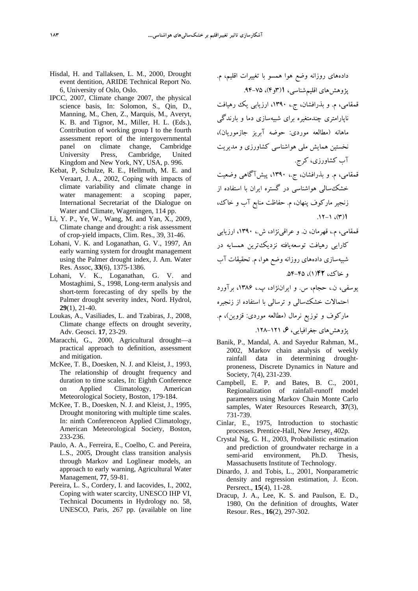- Hisdal, H. and Tallaksen, L. M., 2000, Drought event dentition, ARIDE Technical Report No. 6, University of Oslo, Oslo.
- IPCC, 2007, Climate change 2007, the physical science basis, In: Solomon, S., Qin, D., Manning, M., Chen, Z., Marquis, M., Averyt, K. B. and Tignor, M., Miller, H. L. (Eds.), Contribution of working group I to the fourth assessment report of the intergovernmental panel on climate change, Cambridge University Press, Cambridge, United Kingdom and New York, NY, USA, p. 996.
- Kebat, P, Schulze, R. E., Hellmuth, M. E. and Veraart, J. A., 2002, Coping with impacts of climate variability and climate change in water management: a scoping paper, International Secretariat of the Dialogue on Water and Climate, Wageningen, 114 pp.
- Li, Y. P., Ye, W., Wang, M. and Yan, X., 2009, Climate change and drought: a risk assessment of crop-yield impacts, Clim. Res., 39, 31-46.
- Lohani, V. K. and Loganathan, G. V., 1997, An early warning system for drought management using the Palmer drought index, J. Am. Water Res. Assoc, **33**(6), 1375-1386.
- Lohani, V. K., Loganathan, G. V. and Mostaghimi, S., 1998, Long-term analysis and short-term forecasting of dry spells by the Palmer drought severity index, Nord. Hydrol, **29**(1), 21-40.
- Loukas, A., Vasiliades, L. and Tzabiras, J., 2008, Climate change effects on drought severity, Adv. Geosci. **17**, 23-29.
- Maracchi, G., 2000, Agricultural drought—a practical approach to definition, assessment and mitigation.
- McKee, T. B., Doesken, N. J. and Kleist, J., 1993, The relationship of drought frequency and duration to time scales, In: Eighth Conference on Applied Climatology, American Meteorological Society, Boston, 179-184.
- McKee, T. B., Doesken, N. J. and Kleist, J., 1995, Drought monitoring with multiple time scales. In: ninth Conferenceon Applied Climatology, American Meteorological Society, Boston, 233-236.
- Paulo, A. A., Ferreira, E., Coelho, C. and Pereira, L.S., 2005, Drought class transition analysis through Markov and Loglinear models, an approach to early warning, Agricultural Water Management, **77**, 59-81.
- Pereira, L. S., Cordery, I. and Iacovides, I., 2002, Coping with water scarcity, UNESCO IHP VI, Technical Documents in Hydrology no. 58, UNESCO, Paris, 267 pp. (available on line

دادههاي روزانه وضع هوا همسو با تغييرات اقليم، م. پژوهشهاي اقليمشناسي، **1**(3و4)، .94-75

- قمقامي، م. و بذرافشان، ج،. ،1390 ارزيابي يك رهيافت ناپارامتري چندمتغيره براي شبيهسازي دما و بارندگي ماهانه (مطالعه موردي: حوضه آبريز جازموريان)، نخستين همايش ملي هواشناسي كشاورزي و مديريت آب كشاورزي، كرج.
- قمقامي، م. و بذرافشان، ج،. ،1390 پيشآگاهي وضعيت خشكسالي هواشناسي در گستره ايران با استفاده از زنجير ماركوف پنهان، م. حفاظت منابع آب و خاك، .12-1 ،(3)**1**
- قمقامي، م،. قهرمان، ن. و عراقينژاد، ش،. ،1390 ارزيابي كارايي رهيافت توسعهيافته نزديكترين همسايه در شبيهسازي دادههاي روزانه وضع هوا، م. تحقيقات آب <sub>ه</sub> خاك، ۴۲(۱)، ۴۵–۵۴.

يوسفي، ن،. حجام، س. و ايراننژاد، پ،. ،1386 برآورد احتمالات خشكسالي و ترسالي با استفاده از زنجيره ماركوف و توزيع نرمال (مطالعه موردي: قزوين)، م. پژوهشهاي جغرافيايي، ،**6** .128-121

- Banik, P., Mandal, A. and Sayedur Rahman, M., 2002, Markov chain analysis of weekly rainfall data in determining droughtproneness, Discrete Dynamics in Nature and Society, 7(4), 231-239.
- Campbell, E. P. and Bates, B. C., 2001, Regionalization of rainfall-runoff model parameters using Markov Chain Monte Carlo samples, Water Resources Research, **37**(3), 731-739.
- Cinlar, E., 1975, Introduction to stochastic processes. Prentice-Hall, New Jersey, 402p.
- Crystal Ng, G. H., 2003, Probabilistic estimation and prediction of groundwater recharge in a semi-arid environment, Ph.D. Thesis, Massachusetts Institute of Technology.
- Dinardo, J. and Tobis, L., 2001, Nonparametric density and regression estimation, J. Econ. Persrect., **15**(4), 11-28.
- Dracup, J. A., Lee, K. S. and Paulson, E. D., 1980, On the definition of droughts, Water Resour. Res., **16**(2), 297-302.